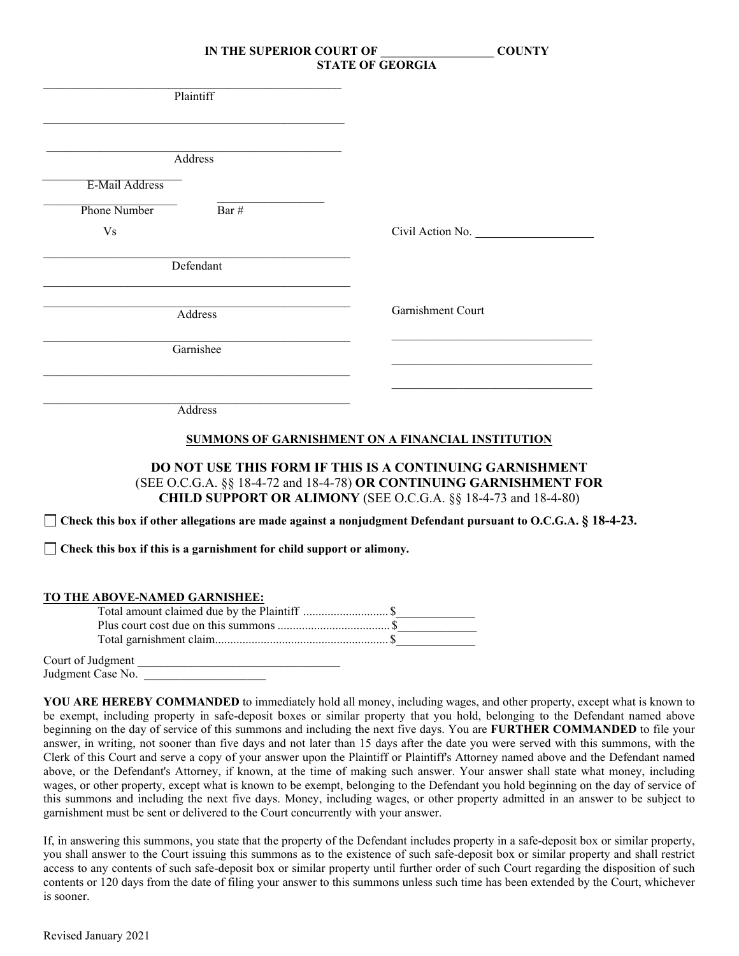| Plaintiff                                                                                                           |                                                                                                                                                                                                          |
|---------------------------------------------------------------------------------------------------------------------|----------------------------------------------------------------------------------------------------------------------------------------------------------------------------------------------------------|
|                                                                                                                     |                                                                                                                                                                                                          |
| Address                                                                                                             |                                                                                                                                                                                                          |
| E-Mail Address                                                                                                      |                                                                                                                                                                                                          |
| <b>Phone Number</b><br>Bar #                                                                                        |                                                                                                                                                                                                          |
| V <sub>S</sub>                                                                                                      | Civil Action No.                                                                                                                                                                                         |
| Defendant                                                                                                           |                                                                                                                                                                                                          |
| Address                                                                                                             | Garnishment Court                                                                                                                                                                                        |
| Garnishee                                                                                                           |                                                                                                                                                                                                          |
| Address                                                                                                             |                                                                                                                                                                                                          |
|                                                                                                                     | SUMMONS OF GARNISHMENT ON A FINANCIAL INSTITUTION                                                                                                                                                        |
|                                                                                                                     | <b>DO NOT USE THIS FORM IF THIS IS A CONTINUING GARNISHMENT</b><br>(SEE O.C.G.A. §§ 18-4-72 and 18-4-78) OR CONTINUING GARNISHMENT FOR<br>CHILD SUPPORT OR ALIMONY (SEE O.C.G.A. §§ 18-4-73 and 18-4-80) |
| $\Box$ Check this box if other allegations are made against a nonjudgment Defendant pursuant to O.C.G.A. § 18-4-23. |                                                                                                                                                                                                          |
| $\Box$ Check this box if this is a garnishment for child support or alimony.                                        |                                                                                                                                                                                                          |
| TO THE ABOVE-NAMED GARNISHEE:                                                                                       |                                                                                                                                                                                                          |
| Court of Judgment                                                                                                   |                                                                                                                                                                                                          |

Judgment Case No.

**YOU ARE HEREBY COMMANDED** to immediately hold all money, including wages, and other property, except what is known to be exempt, including property in safe-deposit boxes or similar property that you hold, belonging to the Defendant named above beginning on the day of service of this summons and including the next five days. You are **FURTHER COMMANDED** to file your answer, in writing, not sooner than five days and not later than 15 days after the date you were served with this summons, with the Clerk of this Court and serve a copy of your answer upon the Plaintiff or Plaintiff's Attorney named above and the Defendant named above, or the Defendant's Attorney, if known, at the time of making such answer. Your answer shall state what money, including wages, or other property, except what is known to be exempt, belonging to the Defendant you hold beginning on the day of service of this summons and including the next five days. Money, including wages, or other property admitted in an answer to be subject to garnishment must be sent or delivered to the Court concurrently with your answer.

If, in answering this summons, you state that the property of the Defendant includes property in a safe-deposit box or similar property, you shall answer to the Court issuing this summons as to the existence of such safe-deposit box or similar property and shall restrict access to any contents of such safe-deposit box or similar property until further order of such Court regarding the disposition of such contents or 120 days from the date of filing your answer to this summons unless such time has been extended by the Court, whichever is sooner.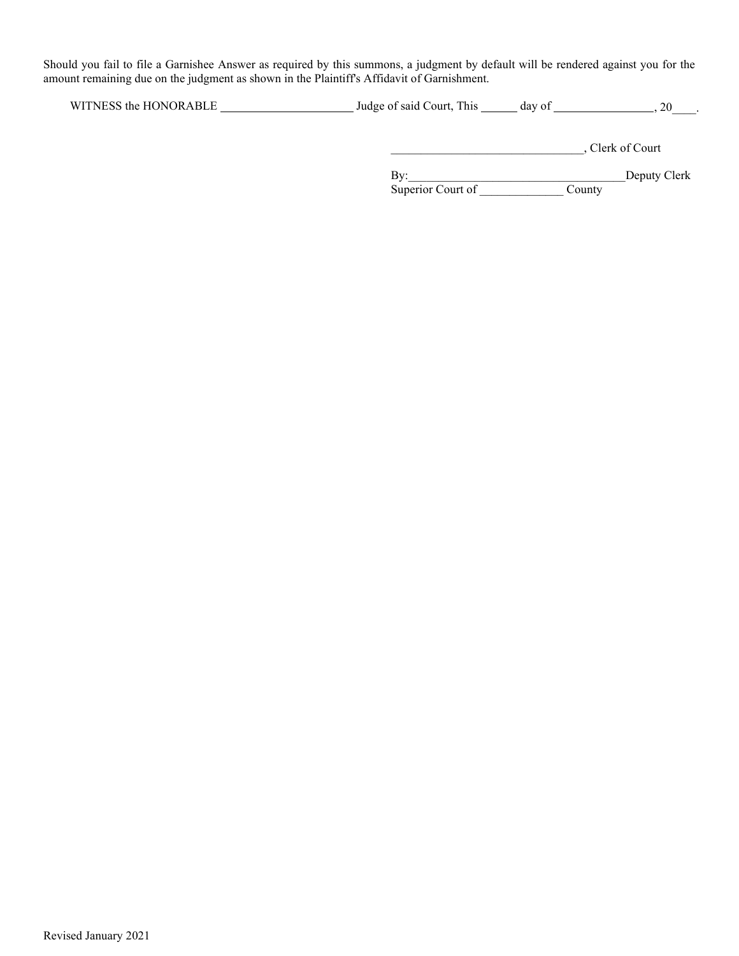Should you fail to file a Garnishee Answer as required by this summons, a judgment by default will be rendered against you for the amount remaining due on the judgment as shown in the Plaintiff's Affidavit of Garnishment.

\_\_\_\_\_\_\_\_\_\_\_\_\_\_\_\_\_\_\_\_\_\_\_\_\_\_\_\_\_\_\_\_, Clerk of Court

By: Deputy Clerk

Superior Court of \_\_\_\_\_\_\_\_\_\_\_\_\_\_\_\_\_\_\_ County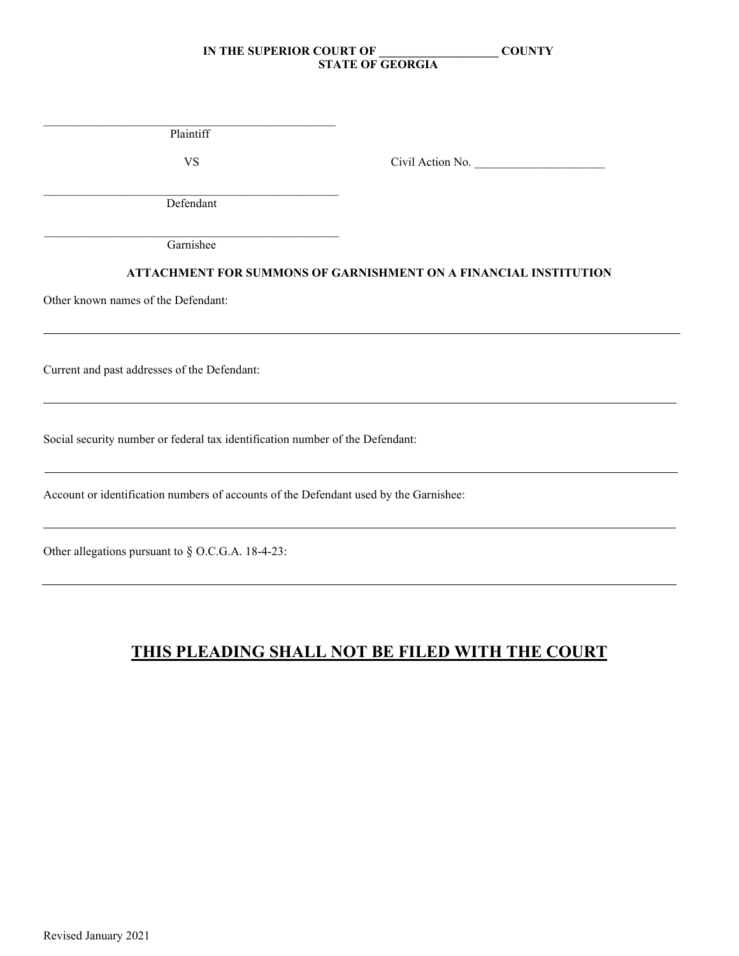\_\_\_\_\_\_\_\_\_\_\_\_\_\_\_\_\_\_\_\_\_\_\_\_\_\_\_\_\_\_\_\_\_\_\_\_\_\_\_\_\_\_\_\_\_\_\_\_\_ Plaintiff

VS Civil Action No.

 $\mathcal{L}_\text{max}$  and  $\mathcal{L}_\text{max}$  and  $\mathcal{L}_\text{max}$  and  $\mathcal{L}_\text{max}$  and  $\mathcal{L}_\text{max}$ Defendant

\_\_\_\_\_\_\_\_\_\_\_\_\_\_\_\_\_\_\_\_\_\_\_\_\_\_\_\_\_\_\_\_\_\_\_\_\_\_\_\_\_\_\_\_\_\_\_\_\_ Garnishee

# **ATTACHMENT FOR SUMMONS OF GARNISHMENT ON A FINANCIAL INSTITUTION**

Other known names of the Defendant:

Current and past addresses of the Defendant:

Social security number or federal tax identification number of the Defendant:

Account or identification numbers of accounts of the Defendant used by the Garnishee:

Other allegations pursuant to § O.C.G.A. 18-4-23:

# **THIS PLEADING SHALL NOT BE FILED WITH THE COURT**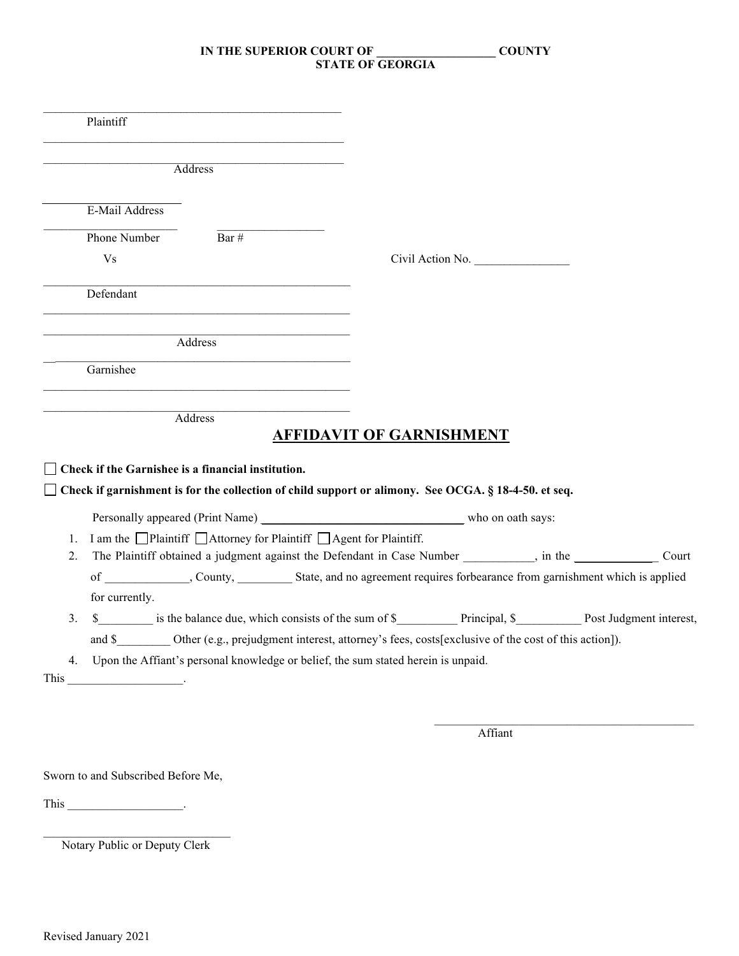| Plaintiff      |                                                                                                                                                                                                                               |                                                                                                                      |                                                                                                     |       |
|----------------|-------------------------------------------------------------------------------------------------------------------------------------------------------------------------------------------------------------------------------|----------------------------------------------------------------------------------------------------------------------|-----------------------------------------------------------------------------------------------------|-------|
|                | Address                                                                                                                                                                                                                       |                                                                                                                      |                                                                                                     |       |
| E-Mail Address |                                                                                                                                                                                                                               |                                                                                                                      |                                                                                                     |       |
| Phone Number   | Bar #                                                                                                                                                                                                                         |                                                                                                                      |                                                                                                     |       |
| <b>Vs</b>      |                                                                                                                                                                                                                               |                                                                                                                      | Civil Action No.                                                                                    |       |
| Defendant      | <u> 1999 - Johann John Harry Harry Harry Harry Harry Harry Harry Harry Harry Harry Harry Harry Harry Harry Harry</u>                                                                                                          |                                                                                                                      |                                                                                                     |       |
|                | Address                                                                                                                                                                                                                       |                                                                                                                      |                                                                                                     |       |
| Garnishee      | the control of the control of the control of the control of the control of the control of the control of the control of the control of the control of the control of the control of the control of the control of the control |                                                                                                                      |                                                                                                     |       |
|                | Address                                                                                                                                                                                                                       | <b>AFFIDAVIT OF GARNISHMENT</b>                                                                                      |                                                                                                     |       |
|                | Check if the Garnishee is a financial institution.                                                                                                                                                                            | Check if garnishment is for the collection of child support or alimony. See OCGA. § 18-4-50. et seq.                 |                                                                                                     |       |
|                |                                                                                                                                                                                                                               | Personally appeared (Print Name) who on oath says:                                                                   |                                                                                                     |       |
| 1.             |                                                                                                                                                                                                                               | I am the □Plaintiff □Attorney for Plaintiff □Agent for Plaintiff.                                                    |                                                                                                     |       |
|                |                                                                                                                                                                                                                               |                                                                                                                      | The Plaintiff obtained a judgment against the Defendant in Case Number ________, in the ___________ | Court |
| 2.             |                                                                                                                                                                                                                               |                                                                                                                      |                                                                                                     |       |
|                |                                                                                                                                                                                                                               |                                                                                                                      |                                                                                                     |       |
| for currently. |                                                                                                                                                                                                                               |                                                                                                                      |                                                                                                     |       |
| 3.             |                                                                                                                                                                                                                               |                                                                                                                      |                                                                                                     |       |
|                |                                                                                                                                                                                                                               | and \$____________ Other (e.g., prejudgment interest, attorney's fees, costs[exclusive of the cost of this action]). |                                                                                                     |       |
| 4.             |                                                                                                                                                                                                                               | Upon the Affiant's personal knowledge or belief, the sum stated herein is unpaid.                                    |                                                                                                     |       |
|                |                                                                                                                                                                                                                               |                                                                                                                      |                                                                                                     |       |

Sworn to and Subscribed Before Me,

This  $\qquad \qquad$ 

\_\_\_\_\_\_\_\_\_\_\_\_\_\_\_\_\_\_\_\_\_\_\_\_\_\_\_\_\_\_\_ Notary Public or Deputy Clerk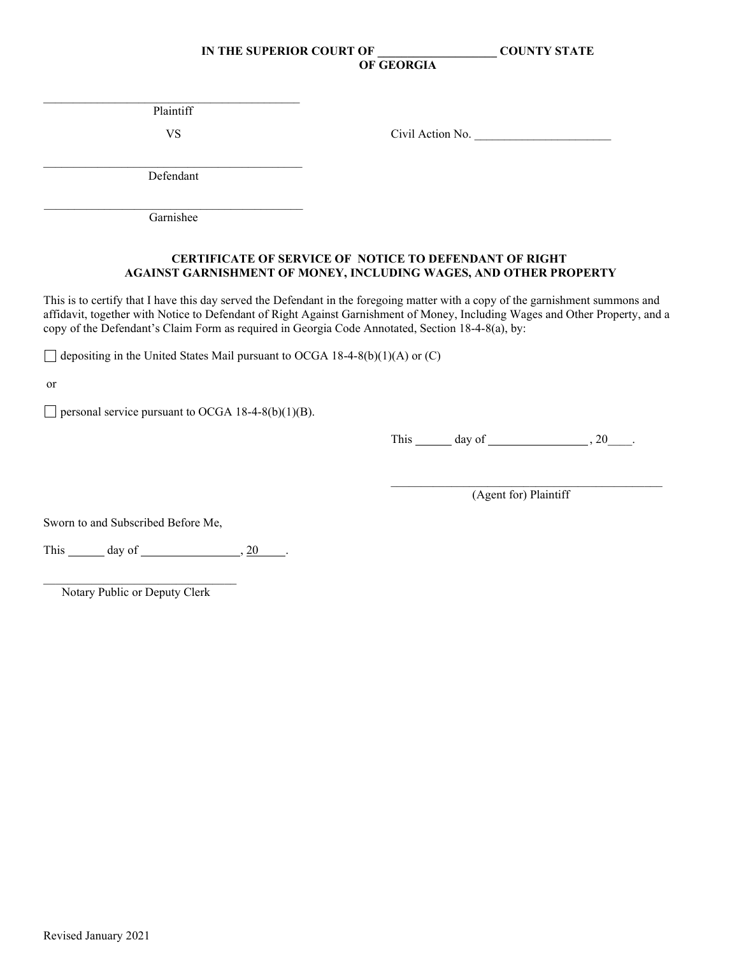$\overline{a}$  , and the set of the set of the set of the set of the set of the set of the set of the set of the set of the set of the set of the set of the set of the set of the set of the set of the set of the set of the set Plaintiff

VS Civil Action No.

\_\_\_\_\_\_\_\_\_\_\_\_\_\_\_\_\_\_\_\_\_\_\_\_\_\_\_\_\_\_\_\_\_\_\_\_\_\_\_\_\_\_\_ Defendant

\_\_\_\_\_\_\_\_\_\_\_\_\_\_\_\_\_\_\_\_\_\_\_\_\_\_\_\_\_\_\_\_\_\_\_\_\_\_\_\_\_\_\_ Garnishee

### **CERTIFICATE OF SERVICE OF NOTICE TO DEFENDANT OF RIGHT AGAINST GARNISHMENT OF MONEY, INCLUDING WAGES, AND OTHER PROPERTY**

This is to certify that I have this day served the Defendant in the foregoing matter with a copy of the garnishment summons and affidavit, together with Notice to Defendant of Right Against Garnishment of Money, Including Wages and Other Property, and a copy of the Defendant's Claim Form as required in Georgia Code Annotated, Section 18-4-8(a), by:

 $\Box$  depositing in the United States Mail pursuant to OCGA 18-4-8(b)(1)(A) or (C)

or

 $\Box$  personal service pursuant to OCGA 18-4-8(b)(1)(B).

This  $\_\_\_\_\$  day of  $\_\_\_\_\_\$  , 20  $\_\$ .

\_\_\_\_\_\_\_\_\_\_\_\_\_\_\_\_\_\_\_\_\_\_\_\_\_\_\_\_\_\_\_\_\_\_\_\_\_\_\_\_\_\_\_\_\_ (Agent for) Plaintiff

Sworn to and Subscribed Before Me,

This  $\_\_\_$  day of  $\_\_\_\_\_\_$ , 20  $\_\_\_\_\_\.\_$ 

 $\mathcal{L}_\text{max}$  , which is a set of the set of the set of the set of the set of the set of the set of the set of the set of the set of the set of the set of the set of the set of the set of the set of the set of the set of Notary Public or Deputy Clerk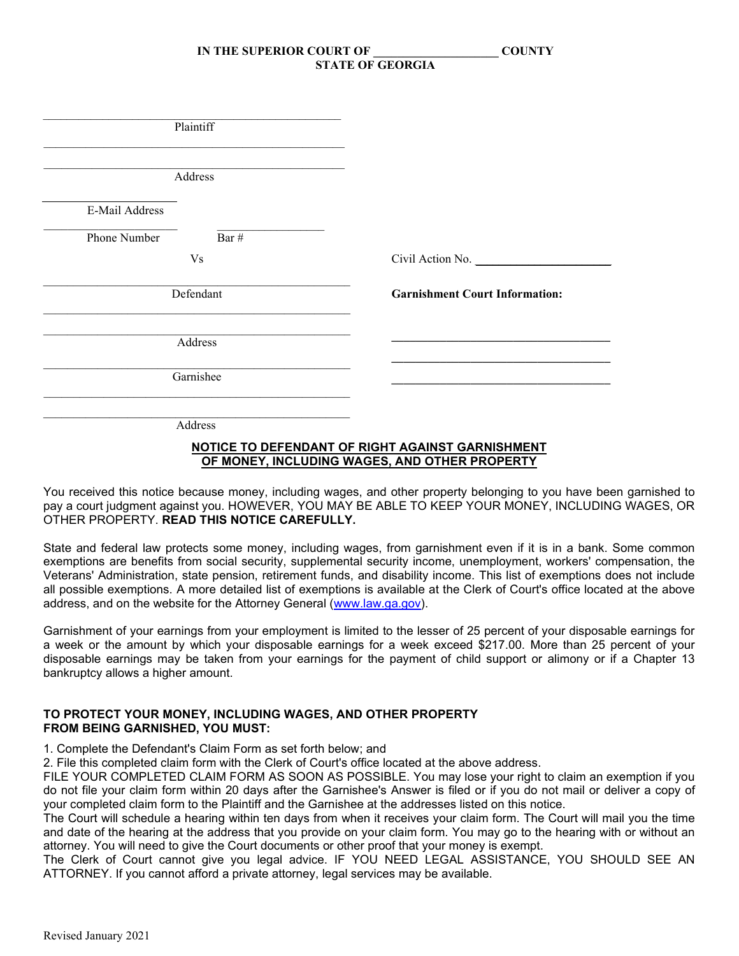| Plaintiff      |           |                                       |
|----------------|-----------|---------------------------------------|
|                | Address   |                                       |
| E-Mail Address |           |                                       |
| Phone Number   | Bar $\#$  |                                       |
|                | <b>Vs</b> | Civil Action No.                      |
|                | Defendant | <b>Garnishment Court Information:</b> |
|                | Address   |                                       |
|                | Garnishee |                                       |
|                | Address   |                                       |

#### **NOTICE TO DEFENDANT OF RIGHT AGAINST GARNISHMENT OF MONEY, INCLUDING WAGES, AND OTHER PROPERTY**

You received this notice because money, including wages, and other property belonging to you have been garnished to pay a court judgment against you. HOWEVER, YOU MAY BE ABLE TO KEEP YOUR MONEY, INCLUDING WAGES, OR OTHER PROPERTY. **READ THIS NOTICE CAREFULLY.**

State and federal law protects some money, including wages, from garnishment even if it is in a bank. Some common exemptions are benefits from social security, supplemental security income, unemployment, workers' compensation, the Veterans' Administration, state pension, retirement funds, and disability income. This list of exemptions does not include all possible exemptions. A more detailed list of exemptions is available at the Clerk of Court's office located at the above address, and on the website for the Attorney General [\(www.law.ga.gov\)](http://www.law.ga.gov/).

Garnishment of your earnings from your employment is limited to the lesser of 25 percent of your disposable earnings for a week or the amount by which your disposable earnings for a week exceed \$217.00. More than 25 percent of your disposable earnings may be taken from your earnings for the payment of child support or alimony or if a Chapter 13 bankruptcy allows a higher amount.

#### **TO PROTECT YOUR MONEY, INCLUDING WAGES, AND OTHER PROPERTY FROM BEING GARNISHED, YOU MUST:**

1. Complete the Defendant's Claim Form as set forth below; and

2. File this completed claim form with the Clerk of Court's office located at the above address.

FILE YOUR COMPLETED CLAIM FORM AS SOON AS POSSIBLE. You may lose your right to claim an exemption if you do not file your claim form within 20 days after the Garnishee's Answer is filed or if you do not mail or deliver a copy of your completed claim form to the Plaintiff and the Garnishee at the addresses listed on this notice.

The Court will schedule a hearing within ten days from when it receives your claim form. The Court will mail you the time and date of the hearing at the address that you provide on your claim form. You may go to the hearing with or without an attorney. You will need to give the Court documents or other proof that your money is exempt.

The Clerk of Court cannot give you legal advice. IF YOU NEED LEGAL ASSISTANCE, YOU SHOULD SEE AN ATTORNEY. If you cannot afford a private attorney, legal services may be available.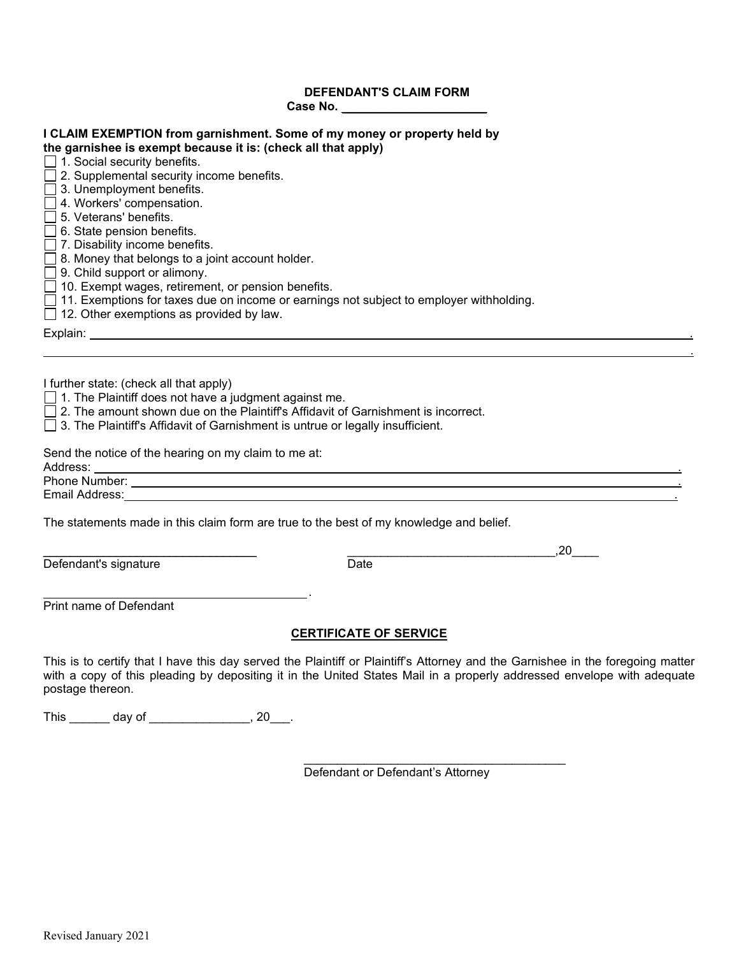# **DEFENDANT'S CLAIM FORM**

| Case No.                                                                                                                                                                                                                                                                                                                                                                                                                                                                                                                                                                                                                                                                                                                                        |
|-------------------------------------------------------------------------------------------------------------------------------------------------------------------------------------------------------------------------------------------------------------------------------------------------------------------------------------------------------------------------------------------------------------------------------------------------------------------------------------------------------------------------------------------------------------------------------------------------------------------------------------------------------------------------------------------------------------------------------------------------|
| I CLAIM EXEMPTION from garnishment. Some of my money or property held by<br>the garnishee is exempt because it is: (check all that apply)<br>$\Box$ 1. Social security benefits.<br>$\Box$ 2. Supplemental security income benefits.<br>$\Box$ 3. Unemployment benefits.<br>$\Box$ 4. Workers' compensation.<br>$\Box$ 5. Veterans' benefits.<br>$\Box$ 6. State pension benefits.<br>$\Box$ 7. Disability income benefits.<br>$\Box$ 8. Money that belongs to a joint account holder.<br>$\Box$ 9. Child support or alimony.<br>$\Box$ 10. Exempt wages, retirement, or pension benefits.<br>$\Box$ 11. Exemptions for taxes due on income or earnings not subject to employer withholding.<br>$\Box$ 12. Other exemptions as provided by law. |
|                                                                                                                                                                                                                                                                                                                                                                                                                                                                                                                                                                                                                                                                                                                                                 |
| I further state: (check all that apply)<br>$\Box$ 1. The Plaintiff does not have a judgment against me.<br>□ 2. The amount shown due on the Plaintiff's Affidavit of Garnishment is incorrect.<br>□ 3. The Plaintiff's Affidavit of Garnishment is untrue or legally insufficient.                                                                                                                                                                                                                                                                                                                                                                                                                                                              |

Send the notice of the hearing on my claim to me at:

Additional Contract of the Contract of the Contract of the Contract of the Contract of

Phone Number: . Email Address: <u>2000 November 2000 November 2000 November 2000 November 2000 November 2000 November 2000 November 2000 November 2000 November 2000 November 2000 November 2000 November 2000 November 2000 November 2000 Novem</u>

The statements made in this claim form are true to the best of my knowledge and belief.

.

Defendant's signature

\_\_\_\_\_\_\_\_\_\_\_\_\_\_\_\_\_\_\_\_\_\_\_\_\_\_\_\_\_\_\_\_ \_\_\_\_\_\_\_\_\_\_\_\_\_\_\_\_\_\_\_\_\_\_\_\_\_\_\_\_\_\_\_,20\_\_\_\_

Print name of Defendant

#### **CERTIFICATE OF SERVICE**

This is to certify that I have this day served the Plaintiff or Plaintiff's Attorney and the Garnishee in the foregoing matter with a copy of this pleading by depositing it in the United States Mail in a properly addressed envelope with adequate postage thereon.

This \_\_\_\_\_\_\_ day of \_\_\_\_\_\_\_\_\_\_\_\_\_\_\_, 20\_\_\_.

Defendant or Defendant's Attorney

\_\_\_\_\_\_\_\_\_\_\_\_\_\_\_\_\_\_\_\_\_\_\_\_\_\_\_\_\_\_\_\_\_\_\_\_\_\_\_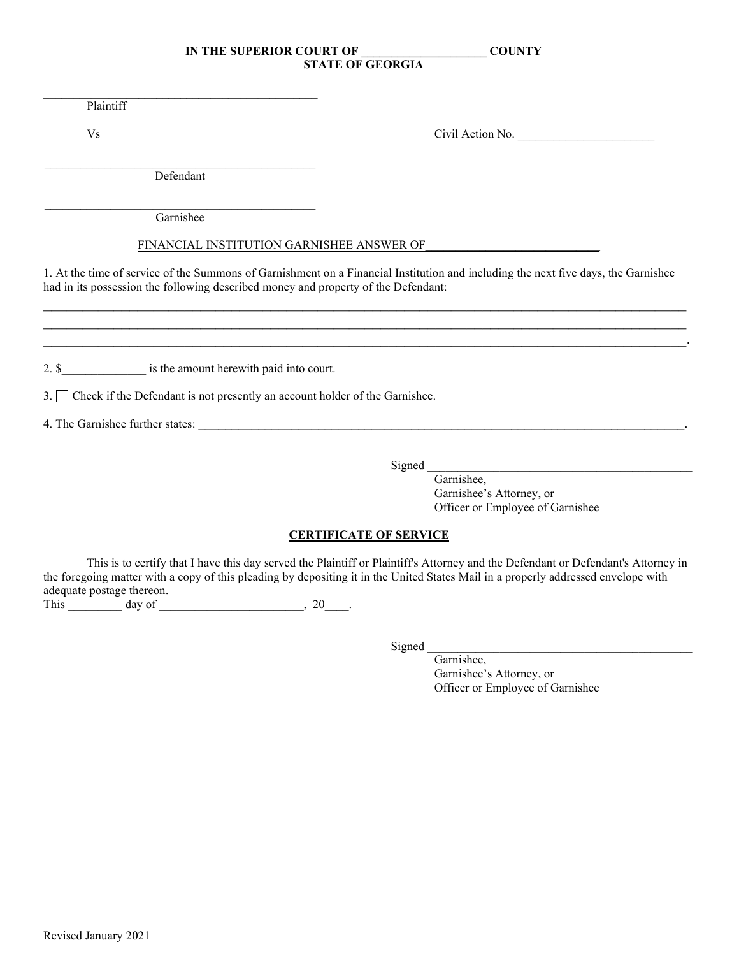Plaintiff

Vs Civil Action No.

\_\_\_\_\_\_\_\_\_\_\_\_\_\_\_\_\_\_\_\_\_\_\_\_\_\_\_\_\_\_\_\_\_\_\_\_\_\_\_\_\_\_\_\_\_ Defendant

 $\mathcal{L}_\text{max}$  and  $\mathcal{L}_\text{max}$  and  $\mathcal{L}_\text{max}$  and  $\mathcal{L}_\text{max}$  and  $\mathcal{L}_\text{max}$ 

\_\_\_\_\_\_\_\_\_\_\_\_\_\_\_\_\_\_\_\_\_\_\_\_\_\_\_\_\_\_\_\_\_\_\_\_\_\_\_\_\_\_\_\_\_ Garnishee

#### FINANCIAL INSTITUTION GARNISHEE ANSWER OF

1. At the time of service of the Summons of Garnishment on a Financial Institution and including the next five days, the Garnishee had in its possession the following described money and property of the Defendant:

\_\_\_\_\_\_\_\_\_\_\_\_\_\_\_\_\_\_\_\_\_\_\_\_\_\_\_\_\_\_\_\_\_\_\_\_\_\_\_\_\_\_\_\_\_\_\_\_\_\_\_\_\_\_\_\_\_\_\_\_\_\_\_\_\_\_\_\_\_\_\_\_\_\_\_\_\_\_\_\_\_\_ \_\_\_\_\_\_\_\_\_\_\_\_\_\_\_\_\_\_\_\_\_\_\_\_\_\_\_\_\_\_\_\_\_\_\_\_\_\_\_\_\_\_\_\_\_\_\_\_\_\_\_\_\_\_\_\_\_\_\_\_\_\_\_\_\_\_\_\_\_\_\_\_\_\_\_\_\_\_\_\_\_\_ \_\_\_\_\_\_\_\_\_\_\_\_\_\_\_\_\_\_\_\_\_\_\_\_\_\_\_\_\_\_\_\_\_\_\_\_\_\_\_\_\_\_\_\_\_\_\_\_\_\_\_\_\_\_\_\_\_\_\_\_\_\_\_\_\_\_\_\_\_\_\_\_\_\_\_\_\_\_\_\_\_\_.

2. \$ \_\_\_\_\_\_\_\_\_\_\_\_\_\_\_\_ is the amount herewith paid into court.

3. Check if the Defendant is not presently an account holder of the Garnishee.

4. The Garnishee further states: \_\_\_\_\_\_\_\_\_\_\_\_\_\_\_\_\_\_\_\_\_\_\_\_\_\_\_\_\_\_\_\_\_\_\_\_\_\_\_\_\_\_\_\_\_\_\_\_\_\_\_\_\_\_\_\_\_\_\_\_\_\_\_\_\_\_\_\_\_\_\_\_\_.

Signed

Garnishee, Garnishee's Attorney, or Officer or Employee of Garnishee

# **CERTIFICATE OF SERVICE**

This is to certify that I have this day served the Plaintiff or Plaintiff's Attorney and the Defendant or Defendant's Attorney in the foregoing matter with a copy of this pleading by depositing it in the United States Mail in a properly addressed envelope with adequate postage thereon.

This day of the contract of the contract of the contract of the contract of the contract of the contract of the contract of the contract of the contract of the contract of the contract of the contract of the contract of th

Signed

Garnishee, Garnishee's Attorney, or Officer or Employee of Garnishee